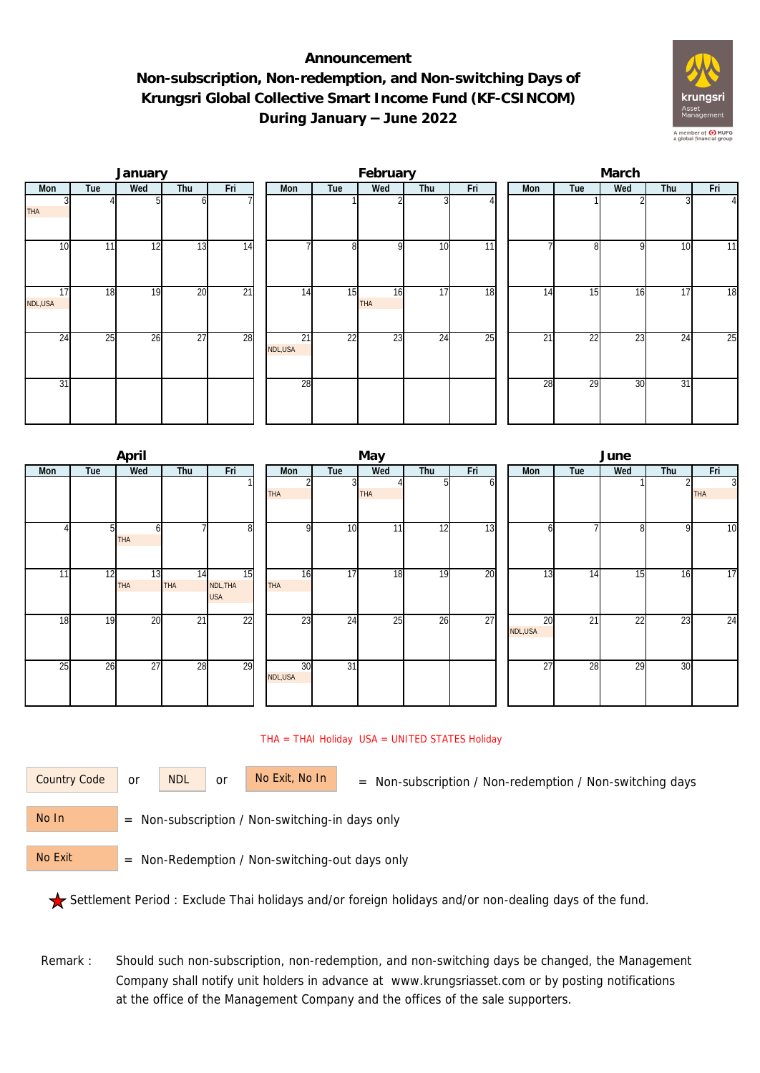## **Announcement Non-subscription, Non-redemption, and Non-switching Days of Krungsri Global Collective Smart Income Fund (KF-CSINCOM) During January – June 2022**



|               |     | January |     |                 |               |     | February         |     |                 | March |     |     |                 |                |  |  |
|---------------|-----|---------|-----|-----------------|---------------|-----|------------------|-----|-----------------|-------|-----|-----|-----------------|----------------|--|--|
| Mon           | Tue | Wed     | Thu | Fri             | Mon           | Tue | Wed              | Thu | Fri             | Mon   | Tue | Wed | Thu             | Fri            |  |  |
| <b>THA</b>    |     |         |     |                 |               |     |                  |     |                 |       |     |     |                 | $\overline{4}$ |  |  |
| 10            | 11  | 12      | 13  | $\overline{14}$ |               | 8   | <sup>Q</sup>     | 10  | $\overline{11}$ |       | 8   | 9   | 10              | 11             |  |  |
| 17<br>NDL,USA | 18  | 19      | 20  | $\overline{21}$ | 14            | 15  | 16<br><b>THA</b> | 17  | 18              | 14    | 15  | 16  | 17              | 18             |  |  |
| 24            | 25  | 26      | 27  | 28              | 21<br>NDL,USA | 22  | 23               | 24  | 25              | 21    | 22  | 23  | 24              | 25             |  |  |
| 31            |     |         |     |                 | 28            |     |                  |     |                 | 28    | 29  | 30  | $\overline{31}$ |                |  |  |

|     |     | April           |                  |                              | May              |                 |                 |     |     |  |               | June            |     |     |                              |  |  |  |
|-----|-----|-----------------|------------------|------------------------------|------------------|-----------------|-----------------|-----|-----|--|---------------|-----------------|-----|-----|------------------------------|--|--|--|
| Mon | Tue | Wed             | Thu              | Fri                          | Mon              | Tue             | Wed             | Thu | Fri |  | Mon           | Tue             | Wed | Thu | Fri                          |  |  |  |
|     |     |                 |                  |                              | <b>THA</b>       |                 | THA             |     | h   |  |               |                 |     |     | $\overline{3}$<br><b>THA</b> |  |  |  |
|     |     | h<br>THA        |                  | 8                            | $\Omega$         | 10              | 11 <sub>1</sub> | 12  | 13  |  | h             |                 | 8   | 9   | 10                           |  |  |  |
| 11  | 12  | 13<br>THA       | 14<br><b>THA</b> | 15<br>NDL, THA<br><b>USA</b> | 16<br><b>THA</b> | 17              | 18              | 19  | 20  |  | 13            | 14              | 15  | 16  | 17                           |  |  |  |
| 18  | 19  | 20              | $\overline{21}$  | $\overline{22}$              | 23               | 24              | 25              | 26  | 27  |  | 20<br>NDL,USA | $\overline{21}$ | 22  | 23  | 24                           |  |  |  |
| 25  | 26  | $\overline{27}$ | 28               | 29                           | 30<br>NDL,USA    | $\overline{31}$ |                 |     |     |  | 27            | 28              | 29  | 30  |                              |  |  |  |

## THA = THAI Holiday USA = UNITED STATES Holiday

or NDL or

Country Code or NDL or No Exit, No In = Non-subscription / Non-redemption / Non-switching days

 = Non-subscription / Non-switching-in days only No In

 = Non-Redemption / Non-switching-out days only No Exit

Settlement Period : Exclude Thai holidays and/or foreign holidays and/or non-dealing days of the fund.

Remark : Should such non-subscription, non-redemption, and non-switching days be changed, the Management Company shall notify unit holders in advance at www.krungsriasset.com or by posting notifications at the office of the Management Company and the offices of the sale supporters.